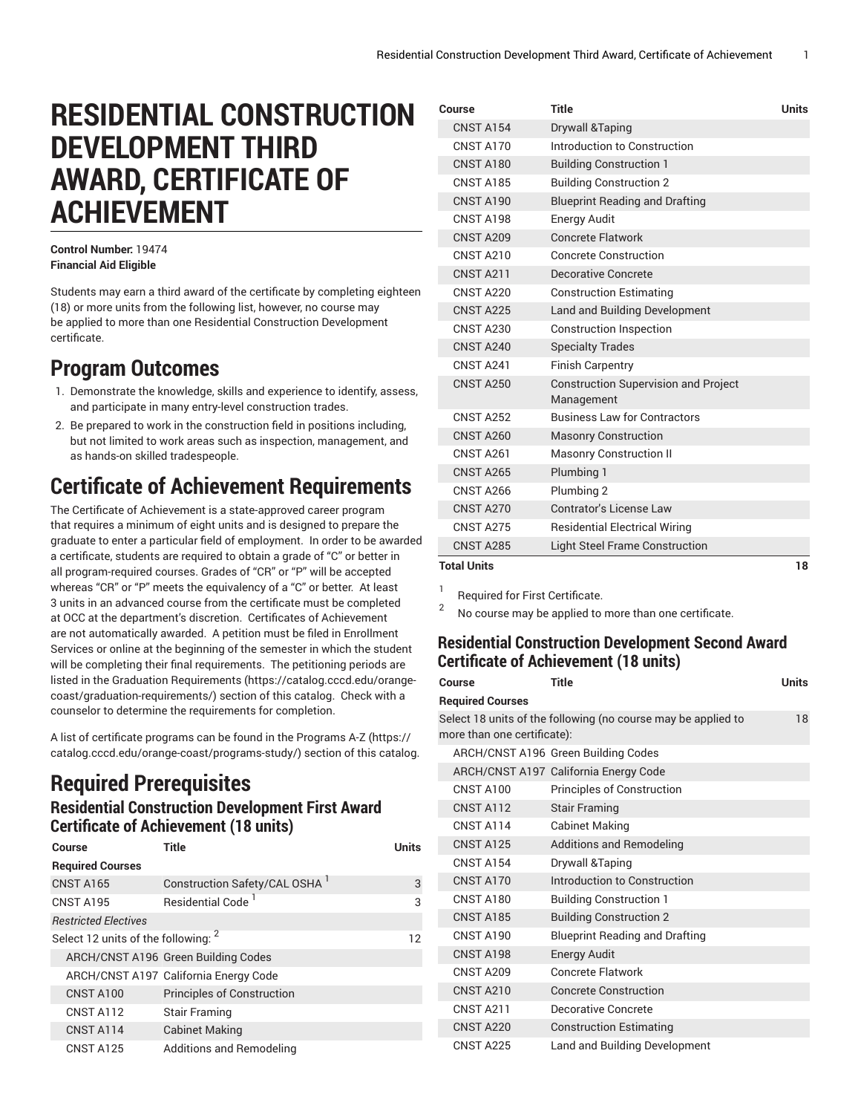# **RESIDENTIAL CONSTRUCTION DEVELOPMENT THIRD AWARD, CERTIFICATE OF ACHIEVEMENT**

#### **Control Number:** 19474 **Financial Aid Eligible**

Students may earn a third award of the certificate by completing eighteen (18) or more units from the following list, however, no course may be applied to more than one Residential Construction Development certificate.

### **Program Outcomes**

- 1. Demonstrate the knowledge, skills and experience to identify, assess, and participate in many entry-level construction trades.
- 2. Be prepared to work in the construction field in positions including, but not limited to work areas such as inspection, management, and as hands-on skilled tradespeople.

## **Certificate of Achievement Requirements**

The Certificate of Achievement is a state-approved career program that requires a minimum of eight units and is designed to prepare the graduate to enter a particular field of employment. In order to be awarded a certificate, students are required to obtain a grade of "C" or better in all program-required courses. Grades of "CR" or "P" will be accepted whereas "CR" or "P" meets the equivalency of a "C" or better. At least 3 units in an advanced course from the certificate must be completed at OCC at the department's discretion. Certificates of Achievement are not automatically awarded. A petition must be filed in Enrollment Services or online at the beginning of the semester in which the student will be completing their final requirements. The petitioning periods are listed in the Graduation [Requirements \(https://catalog.cccd.edu/orange](https://catalog.cccd.edu/orange-coast/graduation-requirements/)[coast/graduation-requirements/\)](https://catalog.cccd.edu/orange-coast/graduation-requirements/) section of this catalog. Check with a counselor to determine the requirements for completion.

A list of certificate programs can be found in the [Programs](https://catalog.cccd.edu/orange-coast/programs-study/) A-Z ([https://](https://catalog.cccd.edu/orange-coast/programs-study/) [catalog.cccd.edu/orange-coast/programs-study/\)](https://catalog.cccd.edu/orange-coast/programs-study/) section of this catalog.

### **Required Prerequisites Residential Construction Development First Award Certificate of Achievement (18 units)**

| Course                                         | Title                                     | <b>Units</b> |
|------------------------------------------------|-------------------------------------------|--------------|
| <b>Required Courses</b>                        |                                           |              |
| <b>CNST A165</b>                               | Construction Safety/CAL OSHA <sup>1</sup> | 3            |
| <b>CNST A195</b>                               | Residential Code <sup>1</sup>             | 3            |
| <b>Restricted Electives</b>                    |                                           |              |
| Select 12 units of the following: <sup>2</sup> |                                           | 12           |
|                                                | ARCH/CNST A196 Green Building Codes       |              |
|                                                | ARCH/CNST A197 California Energy Code     |              |
| CNST A100                                      | <b>Principles of Construction</b>         |              |
| CNST A112                                      | <b>Stair Framing</b>                      |              |
| CNST A114                                      | <b>Cabinet Making</b>                     |              |
| <b>CNST A125</b>                               | Additions and Remodeling                  |              |

| Course             | Title                                                     | <b>Units</b> |
|--------------------|-----------------------------------------------------------|--------------|
| <b>CNST A154</b>   | Drywall & Taping                                          |              |
| CNST A170          | Introduction to Construction                              |              |
| CNST A180          | <b>Building Construction 1</b>                            |              |
| <b>CNST A185</b>   | <b>Building Construction 2</b>                            |              |
| CNST A190          | <b>Blueprint Reading and Drafting</b>                     |              |
| CNST A198          | Energy Audit                                              |              |
| <b>CNST A209</b>   | <b>Concrete Flatwork</b>                                  |              |
| CNST A210          | <b>Concrete Construction</b>                              |              |
| <b>CNST A211</b>   | Decorative Concrete                                       |              |
| CNST A220          | <b>Construction Estimating</b>                            |              |
| <b>CNST A225</b>   | Land and Building Development                             |              |
| CNST A230          | <b>Construction Inspection</b>                            |              |
| CNST A240          | <b>Specialty Trades</b>                                   |              |
| CNST A241          | <b>Finish Carpentry</b>                                   |              |
| <b>CNST A250</b>   | <b>Construction Supervision and Project</b><br>Management |              |
| <b>CNST A252</b>   | <b>Business Law for Contractors</b>                       |              |
| <b>CNST A260</b>   | <b>Masonry Construction</b>                               |              |
| <b>CNST A261</b>   | <b>Masonry Construction II</b>                            |              |
| <b>CNST A265</b>   | Plumbing 1                                                |              |
| <b>CNST A266</b>   | Plumbing 2                                                |              |
| CNST A270          | Contrator's License Law                                   |              |
| <b>CNST A275</b>   | <b>Residential Electrical Wiring</b>                      |              |
| <b>CNST A285</b>   | <b>Light Steel Frame Construction</b>                     |              |
| <b>Total Units</b> |                                                           | 18           |

1 Required for First Certificate.

2 No course may be applied to more than one certificate.

### **Residential Construction Development Second Award Certificate of Achievement (18 units)**

| Course                      | <b>Title</b>                                                  | <b>Units</b> |
|-----------------------------|---------------------------------------------------------------|--------------|
| <b>Required Courses</b>     |                                                               |              |
| more than one certificate): | Select 18 units of the following (no course may be applied to | 18           |
|                             | ARCH/CNST A196 Green Building Codes                           |              |
|                             | ARCH/CNST A197 California Energy Code                         |              |
| CNST A100                   | <b>Principles of Construction</b>                             |              |
| CNST A112                   | <b>Stair Framing</b>                                          |              |
| CNST A114                   | <b>Cabinet Making</b>                                         |              |
| <b>CNST A125</b>            | Additions and Remodeling                                      |              |
| <b>CNST A154</b>            | Drywall & Taping                                              |              |
| CNST A170                   | Introduction to Construction                                  |              |
| CNST A180                   | <b>Building Construction 1</b>                                |              |
| <b>CNST A185</b>            | <b>Building Construction 2</b>                                |              |
| CNST A190                   | <b>Blueprint Reading and Drafting</b>                         |              |
| CNST A198                   | Energy Audit                                                  |              |
| <b>CNST A209</b>            | Concrete Flatwork                                             |              |
| CNST A210                   | <b>Concrete Construction</b>                                  |              |
| <b>CNST A211</b>            | Decorative Concrete                                           |              |
| CNST A220                   | <b>Construction Estimating</b>                                |              |
| CNST A225                   | Land and Building Development                                 |              |